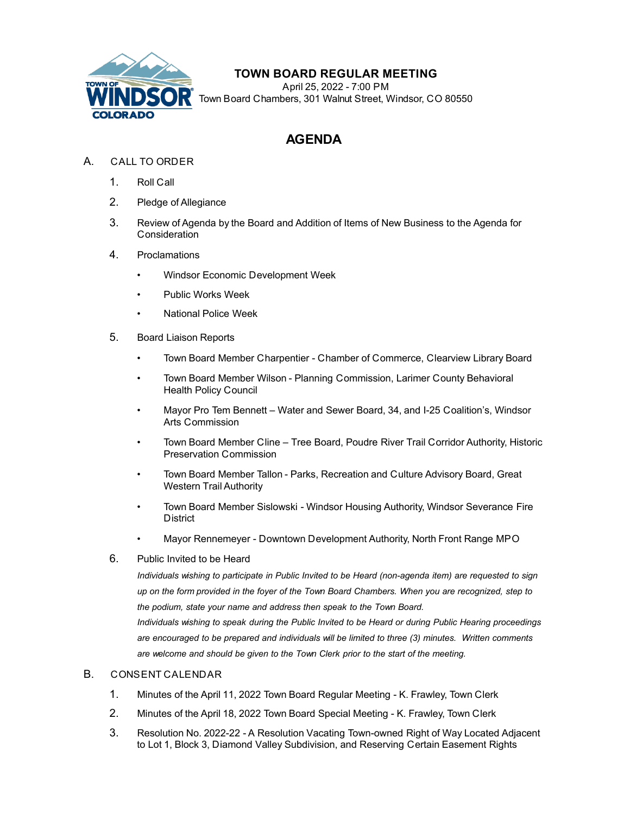

## **TOWN BOARD REGULAR MEETING**

April 25, 2022 - 7:00 PM Town Board Chambers, 301 Walnut Street, Windsor, CO 80550

## **AGENDA**

- A. CALL TO ORDER
	- 1. Roll Call
	- 2. Pledge of Allegiance
	- 3. Review of Agenda by the Board and Addition of Items of New Business to the Agenda for Consideration
	- 4. Proclamations
		- • [Windsor Economic Development Week](file:///C:/Windows/TEMP/CoverSheet.aspx?ItemID=2019&MeetingID=365)
		- Public Works Week
		- • [National Police Week](file:///C:/Windows/TEMP/CoverSheet.aspx?ItemID=2016&MeetingID=365)
	- 5. Board Liaison Reports
		- Town Board Member Charpentier Chamber of Commerce, Clearview Library Board
		- Town Board Member Wilson Planning Commission, Larimer County Behavioral Health Policy Council
		- Mayor Pro Tem Bennett Water and Sewer Board, 34, and I-25 Coalition's, Windsor Arts Commission
		- Town Board Member Cline Tree Board, Poudre River Trail Corridor Authority, Historic Preservation Commission
		- Town Board Member Tallon Parks, Recreation and Culture Advisory Board, Great Western Trail Authority
		- Town Board Member Sislowski Windsor Housing Authority, Windsor Severance Fire **District**
		- Mayor Rennemeyer Downtown Development Authority, North Front Range MPO
	- 6. Public Invited to be Heard

*Individuals wishing to participate in Public Invited to be Heard (non-agenda item) are requested to sign up on the form provided in the foyer of the Town Board Chambers. When you are recognized, step to the podium, state your name and address then speak to the Town Board. Individuals wishing to speak during the Public Invited to be Heard or during Public Hearing proceedings are encouraged to be prepared and individuals will be limited to three (3) minutes. Written comments are welcome and should be given to the Town Clerk prior to the start of the meeting.*

## B. CONSENT CALENDAR

- 1. [Minutes of the April 11, 2022 Town Board Regular Meeting K. Frawley, Town Clerk](file:///C:/Windows/TEMP/CoverSheet.aspx?ItemID=2022&MeetingID=365)
- 2. [Minutes of the April 18, 2022 Town Board Special Meeting K. Frawley, Town Clerk](file:///C:/Windows/TEMP/CoverSheet.aspx?ItemID=2023&MeetingID=365)
- 3. [Resolution No. 2022-22 A Resolution Vacating Town-owned Right of Way Located Adjacent](file:///C:/Windows/TEMP/CoverSheet.aspx?ItemID=2014&MeetingID=365) to Lot 1, Block 3, Diamond Valley Subdivision, and Reserving Certain Easement Rights